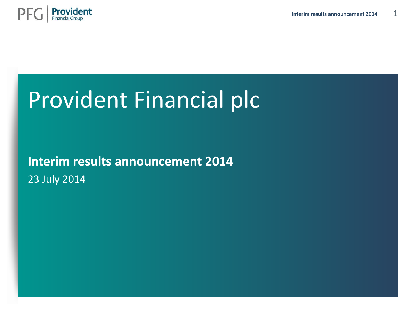



## Provident Financial plc

**Interim results announcement 2014** 23 July 2014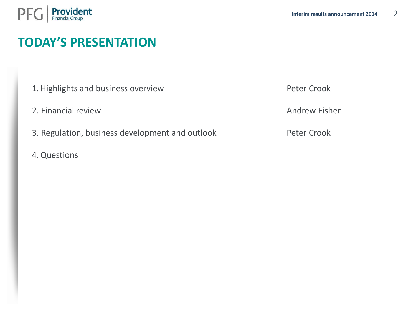

## **TODAY'S PRESENTATION**

- 1. Highlights and business overview
- 2. Financial review
- 3. Regulation, business development and outlook
- 4.Questions

Peter Crook

Andrew Fisher

Peter Crook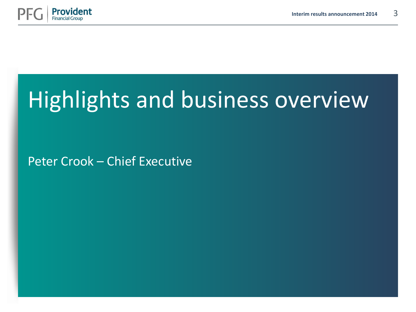

# Highlights and business overview

Peter Crook – Chief Executive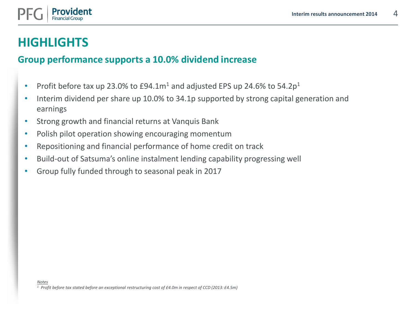

## **HIGHLIGHTS**

#### **Group performance supports a 10.0% dividend increase**

- Profit before tax up 23.0% to  $E94.1m<sup>1</sup>$  and adjusted EPS up 24.6% to 54.2p<sup>1</sup>
- Interim dividend per share up 10.0% to 34.1p supported by strong capital generation and earnings
- Strong growth and financial returns at Vanquis Bank
- Polish pilot operation showing encouraging momentum
- Repositioning and financial performance of home credit on track
- Build-out of Satsuma's online instalment lending capability progressing well
- Group fully funded through to seasonal peak in 2017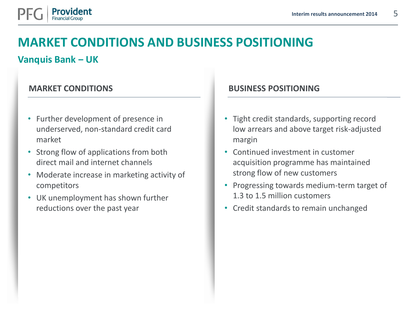

## **MARKET CONDITIONS AND BUSINESS POSITIONING**

#### **Vanquis Bank ‒ UK**

- Further development of presence in underserved, non-standard credit card market
- Strong flow of applications from both direct mail and internet channels
- Moderate increase in marketing activity of competitors
- UK unemployment has shown further reductions over the past year

#### **MARKET CONDITIONS BUSINESS POSITIONING**

- Tight credit standards, supporting record low arrears and above target risk-adjusted margin
- Continued investment in customer acquisition programme has maintained strong flow of new customers
- Progressing towards medium-term target of 1.3 to 1.5 million customers
- Credit standards to remain unchanged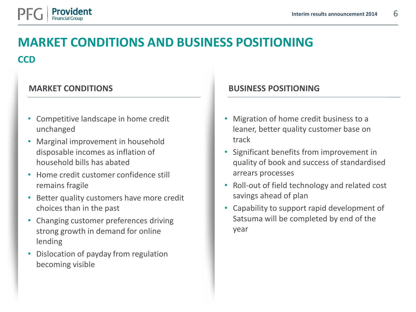

## **MARKET CONDITIONS AND BUSINESS POSITIONING CCD**

- Competitive landscape in home credit unchanged
- Marginal improvement in household disposable incomes as inflation of household bills has abated
- Home credit customer confidence still remains fragile
- Better quality customers have more credit choices than in the past
- Changing customer preferences driving strong growth in demand for online lending
- Dislocation of payday from regulation becoming visible

#### **MARKET CONDITIONS BUSINESS POSITIONING**

- Migration of home credit business to a leaner, better quality customer base on track
- Significant benefits from improvement in quality of book and success of standardised arrears processes
- Roll-out of field technology and related cost savings ahead of plan
- Capability to support rapid development of Satsuma will be completed by end of the year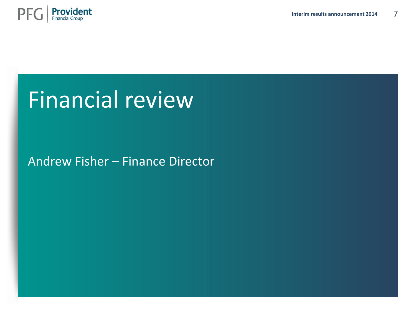

## Financial review

## Andrew Fisher – Finance Director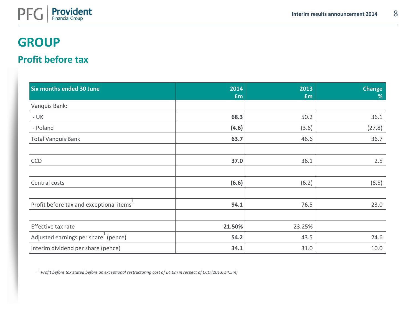

### **GROUP**

#### **Profit before tax**

| Six months ended 30 June                         | 2014<br>£m | 2013<br>£m | <b>Change</b><br>% |
|--------------------------------------------------|------------|------------|--------------------|
| Vanquis Bank:                                    |            |            |                    |
| $- UK$                                           | 68.3       | 50.2       | 36.1               |
| - Poland                                         | (4.6)      | (3.6)      | (27.8)             |
| <b>Total Vanquis Bank</b>                        | 63.7       | 46.6       | 36.7               |
|                                                  |            |            |                    |
| CCD                                              | 37.0       | 36.1       | 2.5                |
|                                                  |            |            |                    |
| Central costs                                    | (6.6)      | (6.2)      | (6.5)              |
|                                                  |            |            |                    |
| Profit before tax and exceptional items          | 94.1       | 76.5       | 23.0               |
|                                                  |            |            |                    |
| Effective tax rate                               | 21.50%     | 23.25%     |                    |
| Adjusted earnings per share <sup>1</sup> (pence) | 54.2       | 43.5       | 24.6               |
| Interim dividend per share (pence)               | 34.1       | 31.0       | 10.0               |

*<sup>1</sup> Profit before tax stated before an exceptional restructuring cost of £4.0m in respect of CCD (2013: £4.5m)*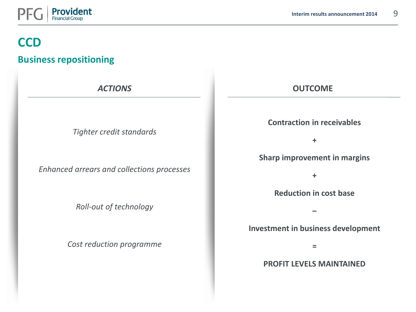

#### **Business repositioning**

*Tighter credit standards*

*Enhanced arrears and collections processes*

*Roll-out of technology*

*Cost reduction programme*

#### *ACTIONS* **OUTCOME**

**Contraction in receivables**

**+**

**Sharp improvement in margins**

**+**

**Reduction in cost base**

**Investment in business development**

**‒**

**=**

**PROFIT LEVELS MAINTAINED**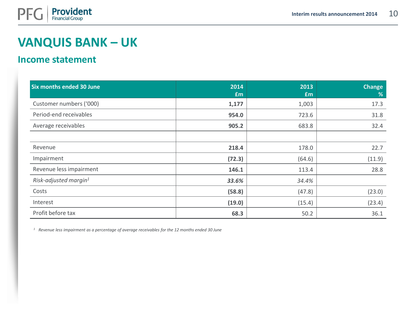

#### **Income statement**

| <b>Six months ended 30 June</b>   | 2014<br>£m | 2013<br>£m | <b>Change</b><br>% |
|-----------------------------------|------------|------------|--------------------|
| Customer numbers ('000)           | 1,177      | 1,003      | 17.3               |
| Period-end receivables            | 954.0      | 723.6      | 31.8               |
| Average receivables               | 905.2      | 683.8      | 32.4               |
|                                   |            |            |                    |
| Revenue                           | 218.4      | 178.0      | 22.7               |
| Impairment                        | (72.3)     | (64.6)     | (11.9)             |
| Revenue less impairment           | 146.1      | 113.4      | 28.8               |
| Risk-adjusted margin <sup>1</sup> | 33.6%      | 34.4%      |                    |
| Costs                             | (58.8)     | (47.8)     | (23.0)             |
| Interest                          | (19.0)     | (15.4)     | (23.4)             |
| Profit before tax                 | 68.3       | 50.2       | 36.1               |

*<sup>1</sup> Revenue less impairment as a percentage of average receivables for the 12 months ended 30 June*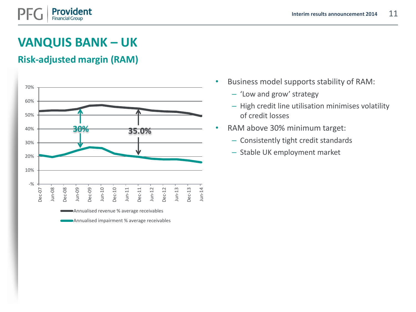#### **Risk-adjusted margin (RAM)**



- Business model supports stability of RAM:
	- 'Low and grow' strategy
	- High credit line utilisation minimises volatility of credit losses
- RAM above 30% minimum target:
	- Consistently tight credit standards
	- Stable UK employment market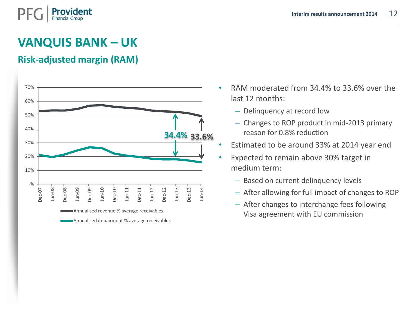#### **Risk-adjusted margin (RAM)**



- RAM moderated from 34.4% to 33.6% over the last 12 months:
	- Delinquency at record low
	- Changes to ROP product in mid-2013 primary reason for 0.8% reduction
- Estimated to be around 33% at 2014 year end
- Expected to remain above 30% target in medium term:
	- Based on current delinquency levels
	- After allowing for full impact of changes to ROP
	- After changes to interchange fees following Visa agreement with EU commission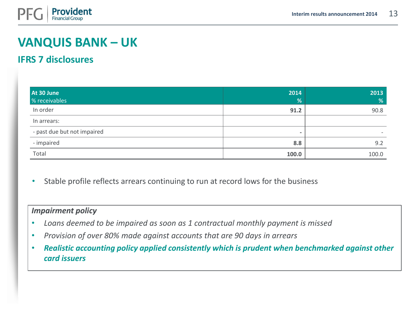

#### **IFRS 7 disclosures**

| At 30 June<br>% receivables | 2014<br>%                | 2013<br>% |
|-----------------------------|--------------------------|-----------|
| In order                    | 91.2                     | 90.8      |
| In arrears:                 |                          |           |
| - past due but not impaired | $\overline{\phantom{0}}$ |           |
| - impaired                  | 8.8                      | 9.2       |
| Total                       | 100.0                    | 100.0     |

Stable profile reflects arrears continuing to run at record lows for the business

#### *Impairment policy*

- *Loans deemed to be impaired as soon as 1 contractual monthly payment is missed*
- *Provision of over 80% made against accounts that are 90 days in arrears*
- *Realistic accounting policy applied consistently which is prudent when benchmarked against other card issuers*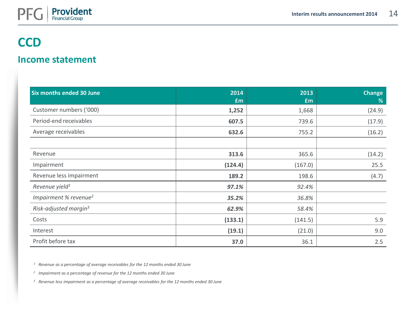

#### **Income statement**

| <b>Six months ended 30 June</b>   | 2014<br>£m | 2013<br>£m | <b>Change</b><br>$\%$ |
|-----------------------------------|------------|------------|-----------------------|
| Customer numbers ('000)           | 1,252      | 1,668      | (24.9)                |
| Period-end receivables            | 607.5      | 739.6      | (17.9)                |
| Average receivables               | 632.6      | 755.2      | (16.2)                |
|                                   |            |            |                       |
| Revenue                           | 313.6      | 365.6      | (14.2)                |
| Impairment                        | (124.4)    | (167.0)    | 25.5                  |
| Revenue less impairment           | 189.2      | 198.6      | (4.7)                 |
| Revenue yield <sup>1</sup>        | 97.1%      | 92.4%      |                       |
| Impairment % revenue <sup>2</sup> | 35.2%      | 36.8%      |                       |
| Risk-adjusted margin <sup>3</sup> | 62.9%      | 58.4%      |                       |
| Costs                             | (133.1)    | (141.5)    | 5.9                   |
| Interest                          | (19.1)     | (21.0)     | 9.0                   |
| Profit before tax                 | 37.0       | 36.1       | 2.5                   |

*<sup>1</sup> Revenue as a percentage of average receivables for the 12 months ended 30 June*

*2 Impairment as a percentage of revenue for the 12 months ended 30 June*

*<sup>3</sup> Revenue less impairment as a percentage of average receivables for the 12 months ended 30 June*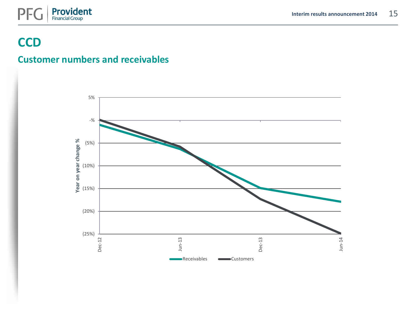

#### **Customer numbers and receivables**

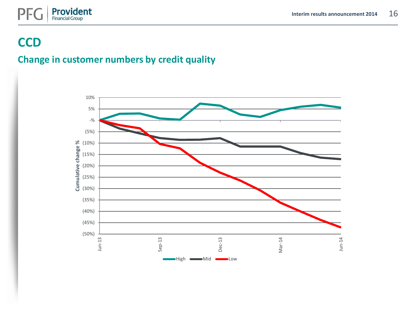



#### **Change in customer numbers by credit quality**

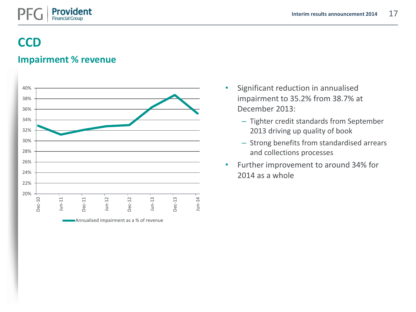

#### **Impairment % revenue**



- Significant reduction in annualised impairment to 35.2% from 38.7% at December 2013:
	- Tighter credit standards from September 2013 driving up quality of book
	- Strong benefits from standardised arrears and collections processes
- Further improvement to around 34% for 2014 as a whole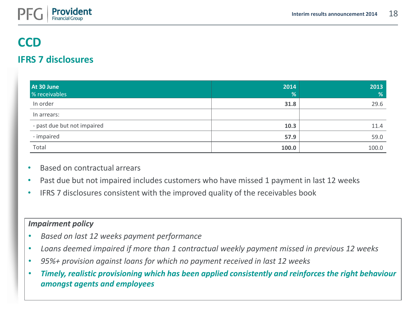

#### **IFRS 7 disclosures**

| At 30 June<br>% receivables | 2014<br>% | 2013<br>% |
|-----------------------------|-----------|-----------|
| In order                    | 31.8      | 29.6      |
| In arrears:                 |           |           |
| - past due but not impaired | 10.3      | 11.4      |
| - impaired                  | 57.9      | 59.0      |
| Total                       | 100.0     | 100.0     |

- Based on contractual arrears
- Past due but not impaired includes customers who have missed 1 payment in last 12 weeks
- IFRS 7 disclosures consistent with the improved quality of the receivables book

#### *Impairment policy*

- *Based on last 12 weeks payment performance*
- *Loans deemed impaired if more than 1 contractual weekly payment missed in previous 12 weeks*
- *95%+ provision against loans for which no payment received in last 12 weeks*
- *Timely, realistic provisioning which has been applied consistently and reinforces the right behaviour amongst agents and employees*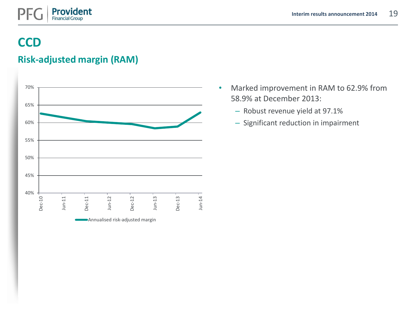

#### **Risk-adjusted margin (RAM)**



- Marked improvement in RAM to 62.9% from 58.9% at December 2013:
	- Robust revenue yield at 97.1%
	- Significant reduction in impairment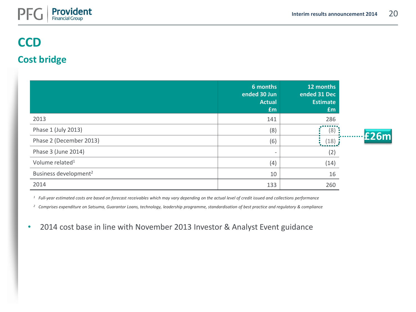

**£26m**

### **CCD**

#### **Cost bridge**

|                                   | 6 months<br>ended 30 Jun<br><b>Actual</b><br>£m | 12 months<br>ended 31 Dec<br><b>Estimate</b><br><b>£m</b> |
|-----------------------------------|-------------------------------------------------|-----------------------------------------------------------|
| 2013                              | 141                                             | 286                                                       |
| Phase 1 (July 2013)               | (8)                                             | 8                                                         |
| Phase 2 (December 2013)           | (6)                                             | (18)                                                      |
| Phase 3 (June 2014)               |                                                 | (2)                                                       |
| Volume related <sup>1</sup>       | (4)                                             | (14)                                                      |
| Business development <sup>2</sup> | 10                                              | 16                                                        |
| 2014                              | 133                                             | 260                                                       |

*<sup>1</sup> Full-year estimated costs are based on forecast receivables which may vary depending on the actual level of credit issued and collections performance*

*<sup>2</sup> Comprises expenditure on Satsuma, Guarantor Loans, technology, leadership programme, standardisation of best practice and regulatory & compliance*

• 2014 cost base in line with November 2013 Investor & Analyst Event guidance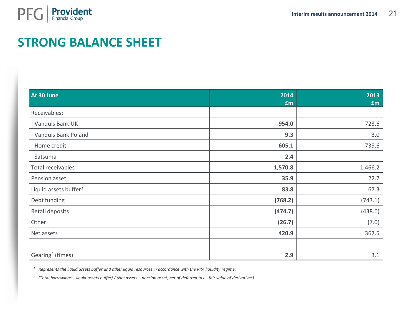

## **STRONG BALANCE SHEET**

| At 30 June                        | 2014<br>£m | 2013<br>£m |
|-----------------------------------|------------|------------|
| Receivables:                      |            |            |
| - Vanquis Bank UK                 | 954.0      | 723.6      |
| - Vanquis Bank Poland             | 9.3        | 3.0        |
| - Home credit                     | 605.1      | 739.6      |
| - Satsuma                         | 2.4        |            |
| Total receivables                 | 1,570.8    | 1,466.2    |
| Pension asset                     | 35.9       | 22.7       |
| Liquid assets buffer <sup>1</sup> | 83.8       | 67.3       |
| Debt funding                      | (768.2)    | (743.1)    |
| Retail deposits                   | (474.7)    | (438.6)    |
| Other                             | (26.7)     | (7.0)      |
| Net assets                        | 420.9      | 367.5      |
|                                   |            |            |
| Gearing <sup>2</sup> (times)      | 2.9        | 3.1        |

*<sup>1</sup> Represents the liquid assets buffer and other liquid resources in accordance with the PRA liquidity regime.*

*2 (Total borrowings – liquid assets buffer) / (Net assets – pension asset, net of deferred tax – fair value of derivatives)*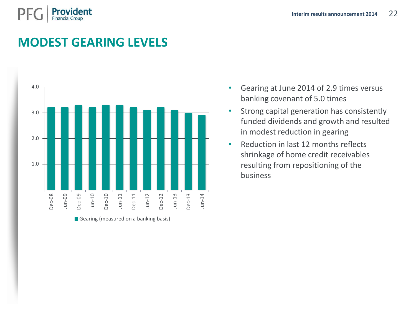

## **MODEST GEARING LEVELS**



- Gearing at June 2014 of 2.9 times versus banking covenant of 5.0 times
- Strong capital generation has consistently funded dividends and growth and resulted in modest reduction in gearing
- Reduction in last 12 months reflects shrinkage of home credit receivables resulting from repositioning of the business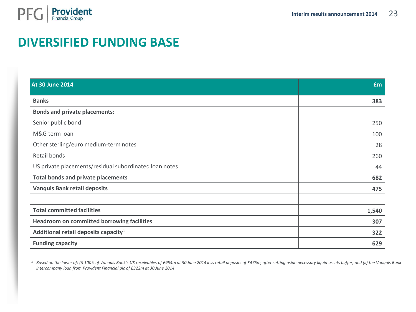

## **DIVERSIFIED FUNDING BASE**

| <b>At 30 June 2014</b>                                 | £m    |
|--------------------------------------------------------|-------|
| <b>Banks</b>                                           | 383   |
| <b>Bonds and private placements:</b>                   |       |
| Senior public bond                                     | 250   |
| M&G term loan                                          | 100   |
| Other sterling/euro medium-term notes                  | 28    |
| Retail bonds                                           | 260   |
| US private placements/residual subordinated loan notes | 44    |
| <b>Total bonds and private placements</b>              | 682   |
| <b>Vanquis Bank retail deposits</b>                    | 475   |
|                                                        |       |
| <b>Total committed facilities</b>                      | 1,540 |
| <b>Headroom on committed borrowing facilities</b>      | 307   |
| Additional retail deposits capacity <sup>1</sup>       | 322   |
| <b>Funding capacity</b>                                | 629   |

<sup>1</sup> Based on the lower of: (i) 100% of Vanquis Bank's UK receivables of £954m at 30 June 2014 less retail deposits of £475m, after setting aside necessary liquid assets buffer; and (ii) the Vanquis Bank *intercompany loan from Provident Financial plc of £322m at 30 June 2014*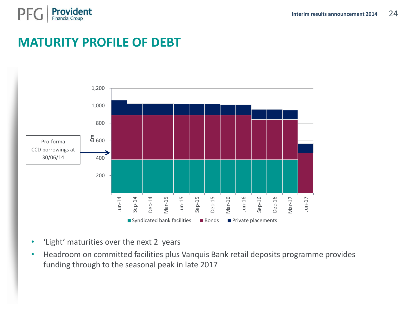

## **MATURITY PROFILE OF DEBT**



- 'Light' maturities over the next 2 years
- Headroom on committed facilities plus Vanquis Bank retail deposits programme provides funding through to the seasonal peak in late 2017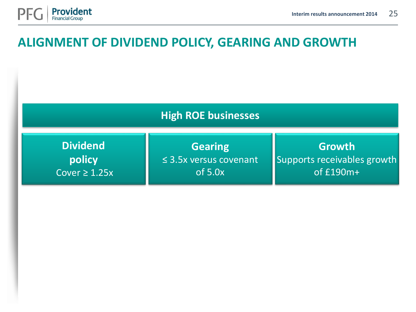

### **ALIGNMENT OF DIVIDEND POLICY, GEARING AND GROWTH**

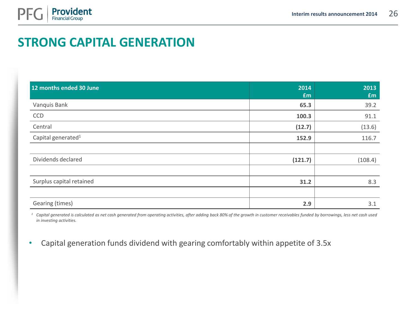

## **STRONG CAPITAL GENERATION**

| 12 months ended 30 June        | 2014<br>£m | 2013<br>£m |
|--------------------------------|------------|------------|
| Vanquis Bank                   | 65.3       | 39.2       |
| <b>CCD</b>                     | 100.3      | 91.1       |
| Central                        | (12.7)     | (13.6)     |
| Capital generated <sup>1</sup> | 152.9      | 116.7      |
|                                |            |            |
| Dividends declared             | (121.7)    | (108.4)    |
|                                |            |            |
| Surplus capital retained       | 31.2       | 8.3        |
|                                |            |            |
| Gearing (times)                | 2.9        | 3.1        |

<sup>1</sup> Capital generated is calculated as net cash generated from operating activities, after adding back 80% of the growth in customer receivables funded by borrowings, less net cash used *in investing activities.* 

• Capital generation funds dividend with gearing comfortably within appetite of 3.5x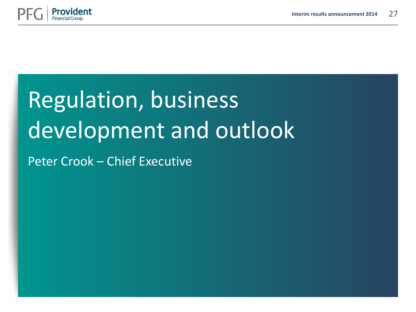

# Regulation, business development and outlook

Peter Crook – Chief Executive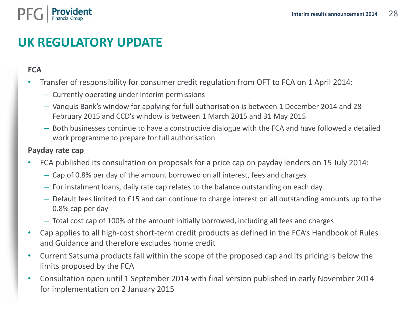

## **UK REGULATORY UPDATE**

**FCA**

- Transfer of responsibility for consumer credit regulation from OFT to FCA on 1 April 2014:
	- Currently operating under interim permissions
	- Vanquis Bank's window for applying for full authorisation is between 1 December 2014 and 28 February 2015 and CCD's window is between 1 March 2015 and 31 May 2015
	- Both businesses continue to have a constructive dialogue with the FCA and have followed a detailed work programme to prepare for full authorisation

#### **Payday rate cap**

- FCA published its consultation on proposals for a price cap on payday lenders on 15 July 2014:
	- Cap of 0.8% per day of the amount borrowed on all interest, fees and charges
	- For instalment loans, daily rate cap relates to the balance outstanding on each day
	- Default fees limited to £15 and can continue to charge interest on all outstanding amounts up to the 0.8% cap per day
	- Total cost cap of 100% of the amount initially borrowed, including all fees and charges
- Cap applies to all high-cost short-term credit products as defined in the FCA's Handbook of Rules and Guidance and therefore excludes home credit
- Current Satsuma products fall within the scope of the proposed cap and its pricing is below the limits proposed by the FCA
- Consultation open until 1 September 2014 with final version published in early November 2014 for implementation on 2 January 2015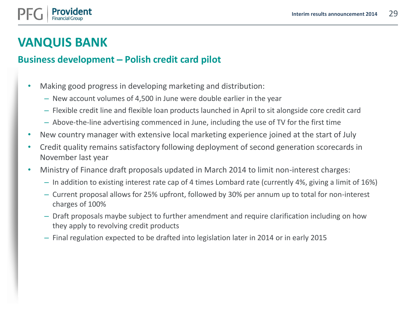

### **VANQUIS BANK**

#### **Business development – Polish credit card pilot**

- Making good progress in developing marketing and distribution:
	- New account volumes of 4,500 in June were double earlier in the year
	- Flexible credit line and flexible loan products launched in April to sit alongside core credit card
	- Above-the-line advertising commenced in June, including the use of TV for the first time
- New country manager with extensive local marketing experience joined at the start of July
- Credit quality remains satisfactory following deployment of second generation scorecards in November last year
- Ministry of Finance draft proposals updated in March 2014 to limit non-interest charges:
	- In addition to existing interest rate cap of 4 times Lombard rate (currently 4%, giving a limit of 16%)
	- Current proposal allows for 25% upfront, followed by 30% per annum up to total for non-interest charges of 100%
	- Draft proposals maybe subject to further amendment and require clarification including on how they apply to revolving credit products
	- Final regulation expected to be drafted into legislation later in 2014 or in early 2015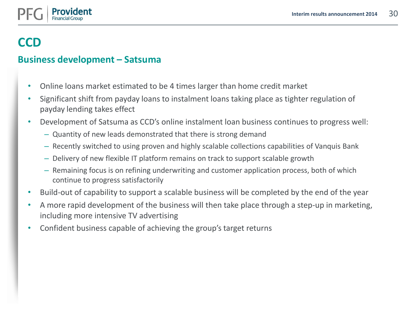#### **Business development – Satsuma**

- Online loans market estimated to be 4 times larger than home credit market
- Significant shift from payday loans to instalment loans taking place as tighter regulation of payday lending takes effect
- Development of Satsuma as CCD's online instalment loan business continues to progress well:
	- Quantity of new leads demonstrated that there is strong demand
	- Recently switched to using proven and highly scalable collections capabilities of Vanquis Bank
	- Delivery of new flexible IT platform remains on track to support scalable growth
	- Remaining focus is on refining underwriting and customer application process, both of which continue to progress satisfactorily
- Build-out of capability to support a scalable business will be completed by the end of the year
- A more rapid development of the business will then take place through a step-up in marketing, including more intensive TV advertising
- Confident business capable of achieving the group's target returns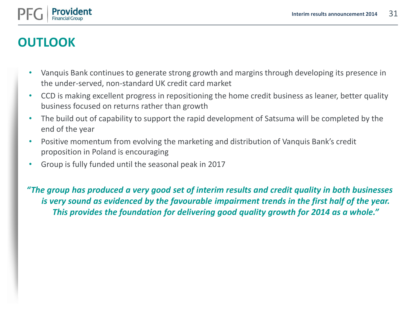

## **OUTLOOK**

- Vanquis Bank continues to generate strong growth and margins through developing its presence in the under-served, non-standard UK credit card market
- CCD is making excellent progress in repositioning the home credit business as leaner, better quality business focused on returns rather than growth
- The build out of capability to support the rapid development of Satsuma will be completed by the end of the year
- Positive momentum from evolving the marketing and distribution of Vanquis Bank's credit proposition in Poland is encouraging
- Group is fully funded until the seasonal peak in 2017

*"The group has produced a very good set of interim results and credit quality in both businesses is very sound as evidenced by the favourable impairment trends in the first half of the year. This provides the foundation for delivering good quality growth for 2014 as a whole."*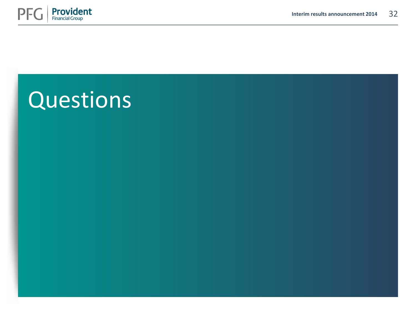

## Questions